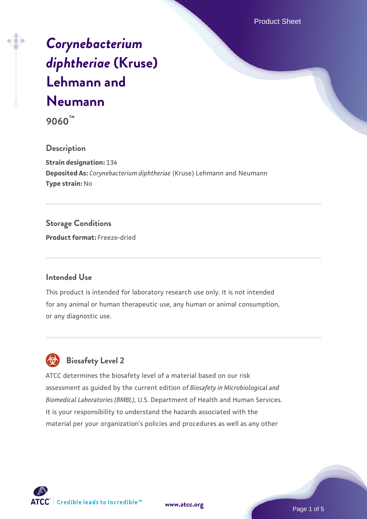Product Sheet

# *[Corynebacterium](https://www.atcc.org/products/9060) [diphtheriae](https://www.atcc.org/products/9060)* **[\(Kruse\)](https://www.atcc.org/products/9060) [Lehmann and](https://www.atcc.org/products/9060) [Neumann](https://www.atcc.org/products/9060)**

**9060™**

#### **Description**

**Strain designation:** 134 **Deposited As:** *Corynebacterium diphtheriae* (Kruse) Lehmann and Neumann **Type strain:** No

### **Storage Conditions**

**Product format:** Freeze-dried

#### **Intended Use**

This product is intended for laboratory research use only. It is not intended for any animal or human therapeutic use, any human or animal consumption, or any diagnostic use.

# **Biosafety Level 2**

ATCC determines the biosafety level of a material based on our risk assessment as guided by the current edition of *Biosafety in Microbiological and Biomedical Laboratories (BMBL)*, U.S. Department of Health and Human Services. It is your responsibility to understand the hazards associated with the material per your organization's policies and procedures as well as any other



**[www.atcc.org](http://www.atcc.org)**

Page 1 of 5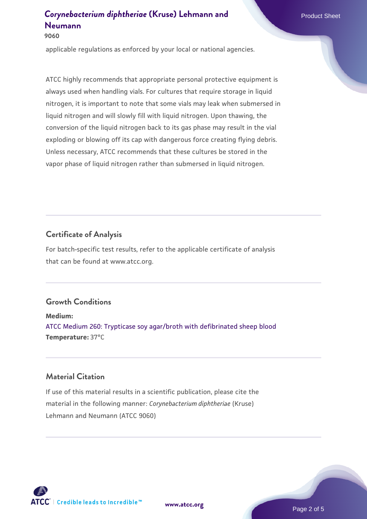**9060**

applicable regulations as enforced by your local or national agencies.

ATCC highly recommends that appropriate personal protective equipment is always used when handling vials. For cultures that require storage in liquid nitrogen, it is important to note that some vials may leak when submersed in liquid nitrogen and will slowly fill with liquid nitrogen. Upon thawing, the conversion of the liquid nitrogen back to its gas phase may result in the vial exploding or blowing off its cap with dangerous force creating flying debris. Unless necessary, ATCC recommends that these cultures be stored in the vapor phase of liquid nitrogen rather than submersed in liquid nitrogen.

### **Certificate of Analysis**

For batch-specific test results, refer to the applicable certificate of analysis that can be found at www.atcc.org.

### **Growth Conditions**

**Medium:**  [ATCC Medium 260: Trypticase soy agar/broth with defibrinated sheep blood](https://www.atcc.org/-/media/product-assets/documents/microbial-media-formulations/2/6/0/atcc-medium-0260.pdf?rev=5d6614780b1c4acf817a324e2507f087) **Temperature:** 37°C

### **Material Citation**

If use of this material results in a scientific publication, please cite the material in the following manner: *Corynebacterium diphtheriae* (Kruse) Lehmann and Neumann (ATCC 9060)



**[www.atcc.org](http://www.atcc.org)**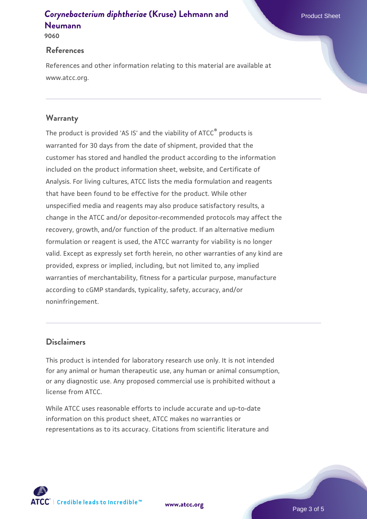**9060**

#### **References**

References and other information relating to this material are available at www.atcc.org.

### **Warranty**

The product is provided 'AS IS' and the viability of ATCC® products is warranted for 30 days from the date of shipment, provided that the customer has stored and handled the product according to the information included on the product information sheet, website, and Certificate of Analysis. For living cultures, ATCC lists the media formulation and reagents that have been found to be effective for the product. While other unspecified media and reagents may also produce satisfactory results, a change in the ATCC and/or depositor-recommended protocols may affect the recovery, growth, and/or function of the product. If an alternative medium formulation or reagent is used, the ATCC warranty for viability is no longer valid. Except as expressly set forth herein, no other warranties of any kind are provided, express or implied, including, but not limited to, any implied warranties of merchantability, fitness for a particular purpose, manufacture according to cGMP standards, typicality, safety, accuracy, and/or noninfringement.

#### **Disclaimers**

This product is intended for laboratory research use only. It is not intended for any animal or human therapeutic use, any human or animal consumption, or any diagnostic use. Any proposed commercial use is prohibited without a license from ATCC.

While ATCC uses reasonable efforts to include accurate and up-to-date information on this product sheet, ATCC makes no warranties or representations as to its accuracy. Citations from scientific literature and

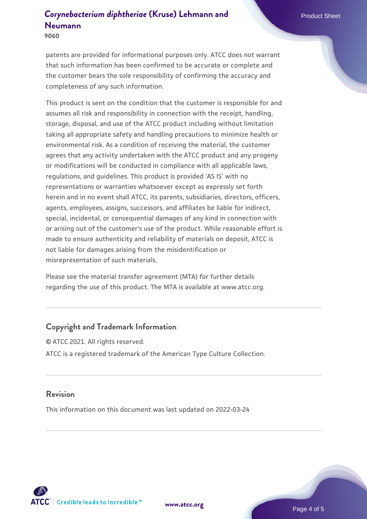**9060**

patents are provided for informational purposes only. ATCC does not warrant that such information has been confirmed to be accurate or complete and the customer bears the sole responsibility of confirming the accuracy and completeness of any such information.

This product is sent on the condition that the customer is responsible for and assumes all risk and responsibility in connection with the receipt, handling, storage, disposal, and use of the ATCC product including without limitation taking all appropriate safety and handling precautions to minimize health or environmental risk. As a condition of receiving the material, the customer agrees that any activity undertaken with the ATCC product and any progeny or modifications will be conducted in compliance with all applicable laws, regulations, and guidelines. This product is provided 'AS IS' with no representations or warranties whatsoever except as expressly set forth herein and in no event shall ATCC, its parents, subsidiaries, directors, officers, agents, employees, assigns, successors, and affiliates be liable for indirect, special, incidental, or consequential damages of any kind in connection with or arising out of the customer's use of the product. While reasonable effort is made to ensure authenticity and reliability of materials on deposit, ATCC is not liable for damages arising from the misidentification or misrepresentation of such materials.

Please see the material transfer agreement (MTA) for further details regarding the use of this product. The MTA is available at www.atcc.org.

### **Copyright and Trademark Information**

© ATCC 2021. All rights reserved. ATCC is a registered trademark of the American Type Culture Collection.

#### **Revision**

This information on this document was last updated on 2022-03-24



**[www.atcc.org](http://www.atcc.org)**

Page 4 of 5